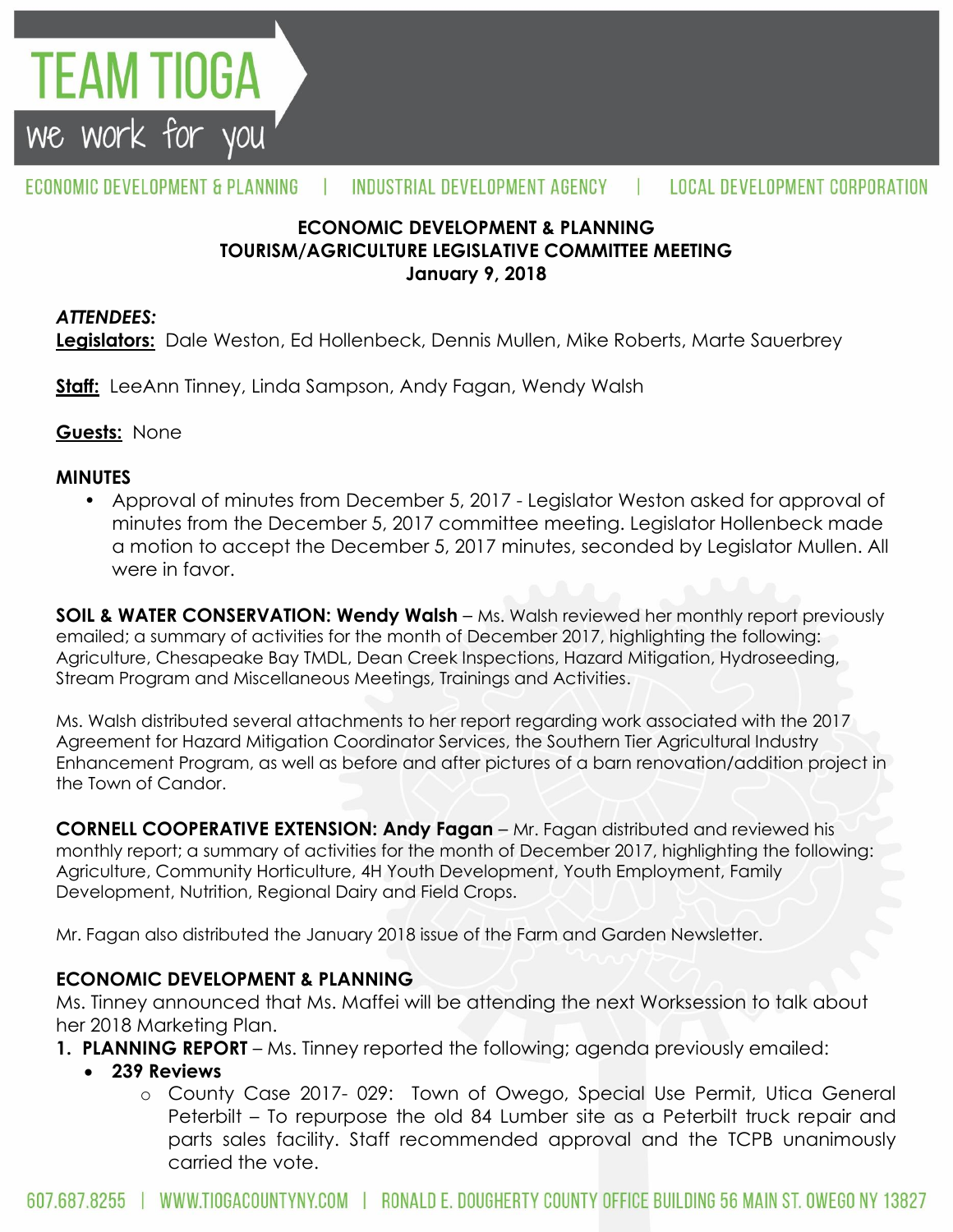

#### ECONOMIC DEVELOPMENT & PLANNING INDUSTRIAL DEVELOPMENT AGENCY  $\mathbf{L}$ **LOCAL DEVELOPMENT CORPORATION**

### **ECONOMIC DEVELOPMENT & PLANNING TOURISM/AGRICULTURE LEGISLATIVE COMMITTEE MEETING January 9, 2018**

#### *ATTENDEES:*

**Legislators:** Dale Weston, Ed Hollenbeck, Dennis Mullen, Mike Roberts, Marte Sauerbrey

**Staff:** LeeAnn Tinney, Linda Sampson, Andy Fagan, Wendy Walsh

**Guests:** None

#### **MINUTES**

• Approval of minutes from December 5, 2017 - Legislator Weston asked for approval of minutes from the December 5, 2017 committee meeting. Legislator Hollenbeck made a motion to accept the December 5, 2017 minutes, seconded by Legislator Mullen. All were in favor.

**SOIL & WATER CONSERVATION: Wendy Walsh** – Ms. Walsh reviewed her monthly report previously emailed; a summary of activities for the month of December 2017, highlighting the following: Agriculture, Chesapeake Bay TMDL, Dean Creek Inspections, Hazard Mitigation, Hydroseeding, Stream Program and Miscellaneous Meetings, Trainings and Activities.

Ms. Walsh distributed several attachments to her report regarding work associated with the 2017 Agreement for Hazard Mitigation Coordinator Services, the Southern Tier Agricultural Industry Enhancement Program, as well as before and after pictures of a barn renovation/addition project in the Town of Candor.

**CORNELL COOPERATIVE EXTENSION: Andy Fagan** – Mr. Fagan distributed and reviewed his monthly report; a summary of activities for the month of December 2017, highlighting the following: Agriculture, Community Horticulture, 4H Youth Development, Youth Employment, Family Development, Nutrition, Regional Dairy and Field Crops.

Mr. Fagan also distributed the January 2018 issue of the Farm and Garden Newsletter.

## **ECONOMIC DEVELOPMENT & PLANNING**

Ms. Tinney announced that Ms. Maffei will be attending the next Worksession to talk about her 2018 Marketing Plan.

**1. PLANNING REPORT** – Ms. Tinney reported the following; agenda previously emailed:

- **239 Reviews**
	- o County Case 2017- 029: Town of Owego, Special Use Permit, Utica General Peterbilt – To repurpose the old 84 Lumber site as a Peterbilt truck repair and parts sales facility. Staff recommended approval and the TCPB unanimously carried the vote.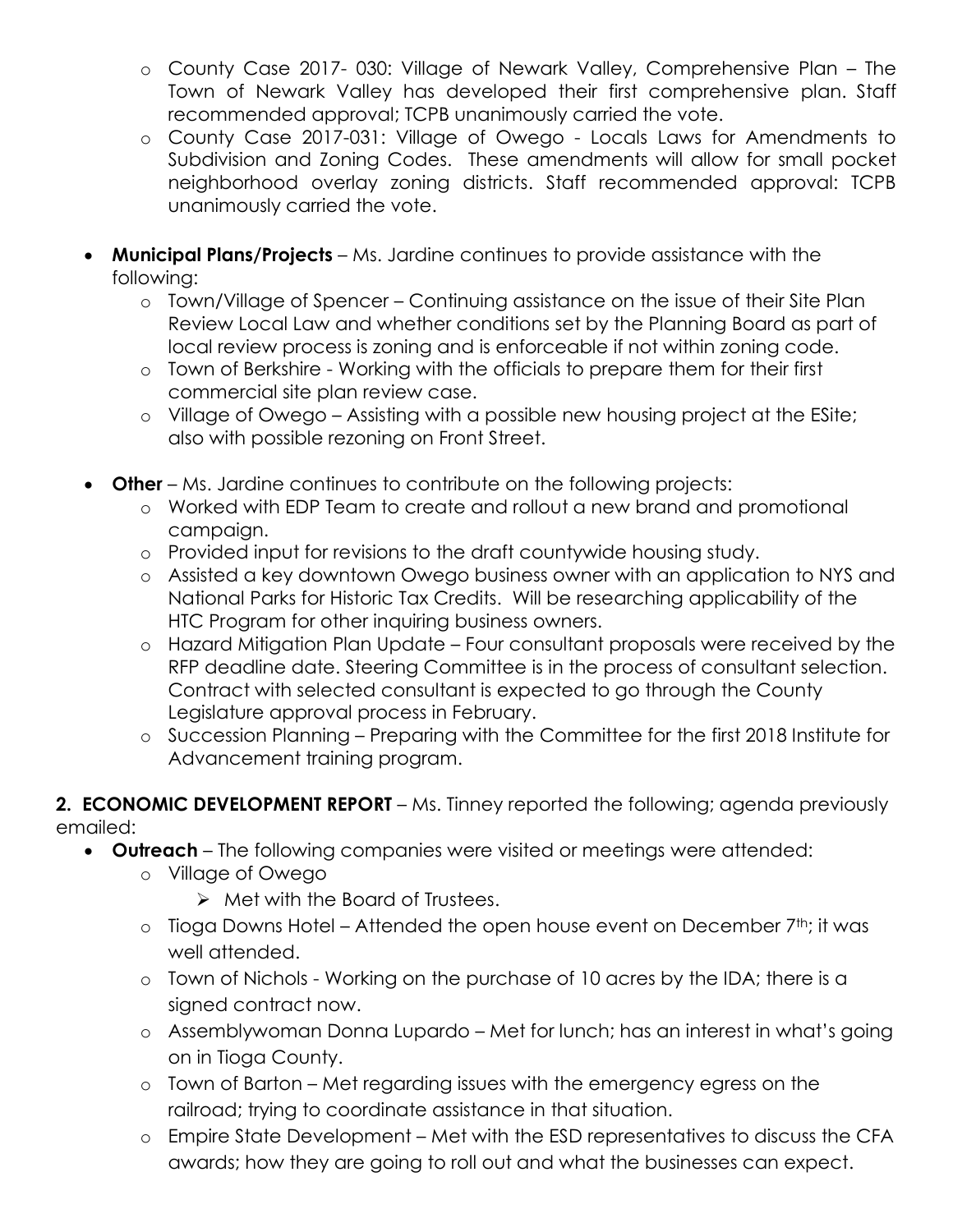- o County Case 2017- 030: Village of Newark Valley, Comprehensive Plan The Town of Newark Valley has developed their first comprehensive plan. Staff recommended approval; TCPB unanimously carried the vote.
- o County Case 2017-031: Village of Owego Locals Laws for Amendments to Subdivision and Zoning Codes. These amendments will allow for small pocket neighborhood overlay zoning districts. Staff recommended approval: TCPB unanimously carried the vote.
- **Municipal Plans/Projects**  Ms. Jardine continues to provide assistance with the following:
	- o Town/Village of Spencer Continuing assistance on the issue of their Site Plan Review Local Law and whether conditions set by the Planning Board as part of local review process is zoning and is enforceable if not within zoning code.
	- o Town of Berkshire Working with the officials to prepare them for their first commercial site plan review case.
	- o Village of Owego Assisting with a possible new housing project at the ESite; also with possible rezoning on Front Street.
- **Other** Ms. Jardine continues to contribute on the following projects:
	- o Worked with EDP Team to create and rollout a new brand and promotional campaign.
	- o Provided input for revisions to the draft countywide housing study.
	- o Assisted a key downtown Owego business owner with an application to NYS and National Parks for Historic Tax Credits. Will be researching applicability of the HTC Program for other inquiring business owners.
	- o Hazard Mitigation Plan Update Four consultant proposals were received by the RFP deadline date. Steering Committee is in the process of consultant selection. Contract with selected consultant is expected to go through the County Legislature approval process in February.
	- o Succession Planning Preparing with the Committee for the first 2018 Institute for Advancement training program.
- **2. ECONOMIC DEVELOPMENT REPORT** Ms. Tinney reported the following; agenda previously emailed:
	- **Outreach**  The following companies were visited or meetings were attended:
		- o Village of Owego
			- $\triangleright$  Met with the Board of Trustees.
		- $\circ$  Tioga Downs Hotel Attended the open house event on December 7<sup>th</sup>; it was well attended.
		- o Town of Nichols Working on the purchase of 10 acres by the IDA; there is a signed contract now.
		- o Assemblywoman Donna Lupardo Met for lunch; has an interest in what's going on in Tioga County.
		- o Town of Barton Met regarding issues with the emergency egress on the railroad; trying to coordinate assistance in that situation.
		- o Empire State Development Met with the ESD representatives to discuss the CFA awards; how they are going to roll out and what the businesses can expect.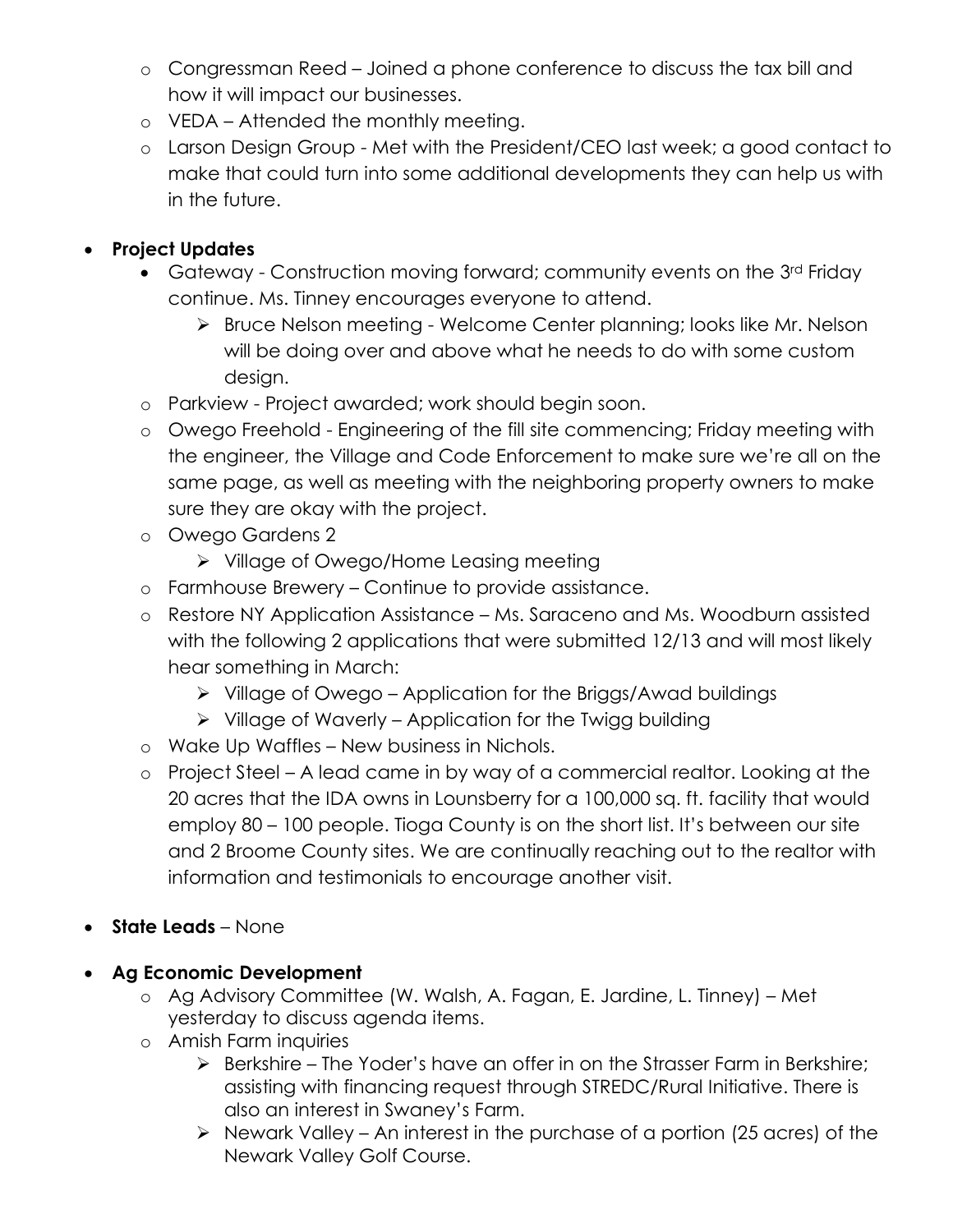- o Congressman Reed Joined a phone conference to discuss the tax bill and how it will impact our businesses.
- o VEDA Attended the monthly meeting.
- o Larson Design Group Met with the President/CEO last week; a good contact to make that could turn into some additional developments they can help us with in the future.

# **Project Updates**

- Gateway Construction moving forward; community events on the 3<sup>rd</sup> Friday continue. Ms. Tinney encourages everyone to attend.
	- ▶ Bruce Nelson meeting Welcome Center planning; looks like Mr. Nelson will be doing over and above what he needs to do with some custom design.
- o Parkview Project awarded; work should begin soon.
- o Owego Freehold Engineering of the fill site commencing; Friday meeting with the engineer, the Village and Code Enforcement to make sure we're all on the same page, as well as meeting with the neighboring property owners to make sure they are okay with the project.
- o Owego Gardens 2
	- Village of Owego/Home Leasing meeting
- o Farmhouse Brewery Continue to provide assistance.
- o Restore NY Application Assistance Ms. Saraceno and Ms. Woodburn assisted with the following 2 applications that were submitted 12/13 and will most likely hear something in March:
	- $\triangleright$  Village of Owego Application for the Briggs/Awad buildings
	- $\triangleright$  Village of Waverly Application for the Twigg building
- o Wake Up Waffles New business in Nichols.
- o Project Steel A lead came in by way of a commercial realtor. Looking at the 20 acres that the IDA owns in Lounsberry for a 100,000 sq. ft. facility that would employ 80 – 100 people. Tioga County is on the short list. It's between our site and 2 Broome County sites. We are continually reaching out to the realtor with information and testimonials to encourage another visit.
- **State Leads**  None
- **Ag Economic Development** 
	- o Ag Advisory Committee (W. Walsh, A. Fagan, E. Jardine, L. Tinney) Met yesterday to discuss agenda items.
	- o Amish Farm inquiries
		- $\triangleright$  Berkshire The Yoder's have an offer in on the Strasser Farm in Berkshire; assisting with financing request through STREDC/Rural Initiative. There is also an interest in Swaney's Farm.
		- $\triangleright$  Newark Valley An interest in the purchase of a portion (25 acres) of the Newark Valley Golf Course.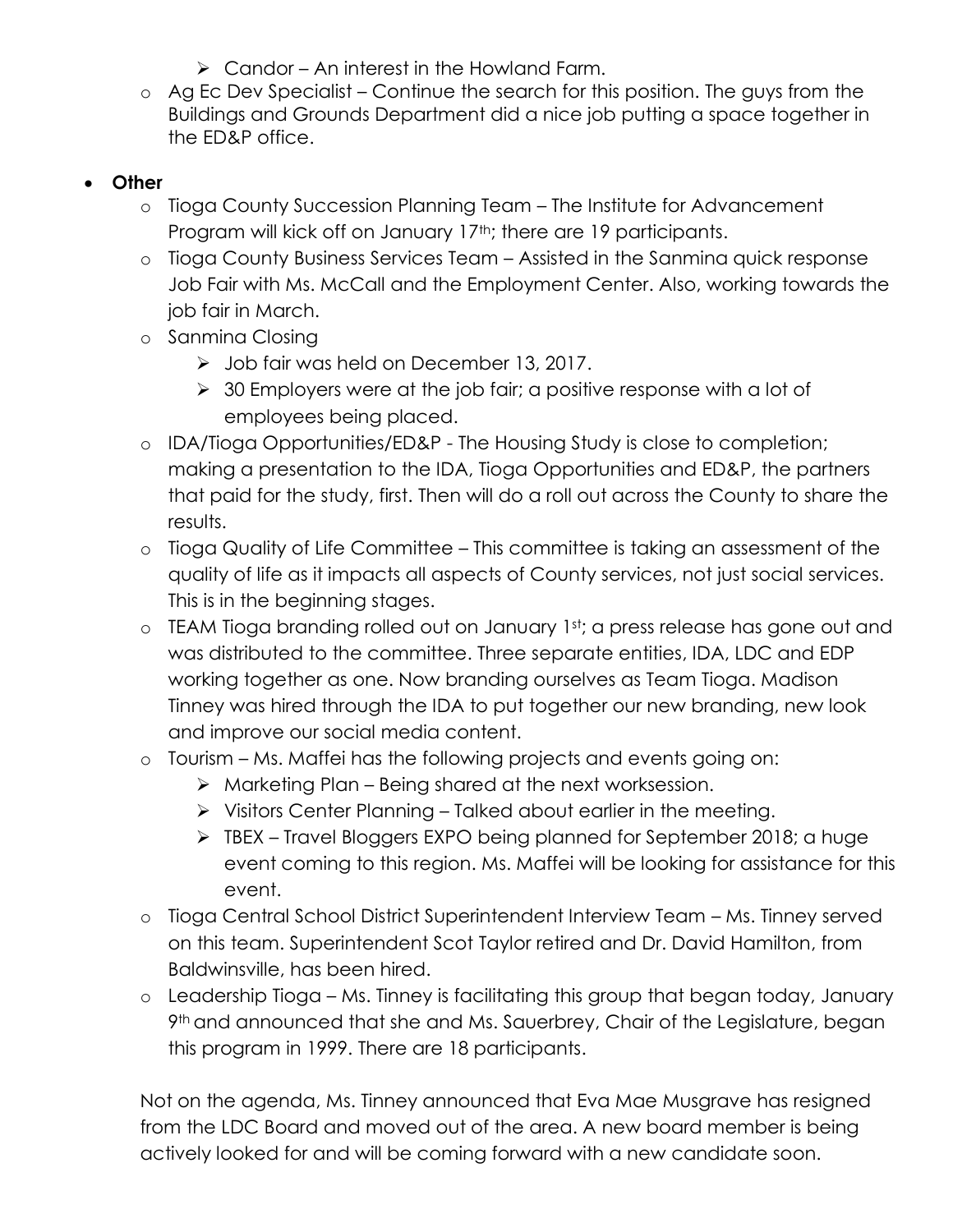- $\triangleright$  Candor An interest in the Howland Farm.
- o Ag Ec Dev Specialist Continue the search for this position. The guys from the Buildings and Grounds Department did a nice job putting a space together in the ED&P office.

# **Other**

- o Tioga County Succession Planning Team The Institute for Advancement Program will kick off on January 17<sup>th</sup>; there are 19 participants.
- o Tioga County Business Services Team Assisted in the Sanmina quick response Job Fair with Ms. McCall and the Employment Center. Also, working towards the job fair in March.
- o Sanmina Closing
	- > Job fair was held on December 13, 2017.
	- $\geq$  30 Employers were at the job fair; a positive response with a lot of employees being placed.
- o IDA/Tioga Opportunities/ED&P The Housing Study is close to completion; making a presentation to the IDA, Tioga Opportunities and ED&P, the partners that paid for the study, first. Then will do a roll out across the County to share the results.
- o Tioga Quality of Life Committee This committee is taking an assessment of the quality of life as it impacts all aspects of County services, not just social services. This is in the beginning stages.
- o TEAM Tioga branding rolled out on January 1st; a press release has gone out and was distributed to the committee. Three separate entities, IDA, LDC and EDP working together as one. Now branding ourselves as Team Tioga. Madison Tinney was hired through the IDA to put together our new branding, new look and improve our social media content.
- o Tourism Ms. Maffei has the following projects and events going on:
	- $\triangleright$  Marketing Plan Being shared at the next worksession.
	- $\triangleright$  Visitors Center Planning Talked about earlier in the meeting.
	- > TBEX Travel Bloggers EXPO being planned for September 2018; a huge event coming to this region. Ms. Maffei will be looking for assistance for this event.
- o Tioga Central School District Superintendent Interview Team Ms. Tinney served on this team. Superintendent Scot Taylor retired and Dr. David Hamilton, from Baldwinsville, has been hired.
- o Leadership Tioga Ms. Tinney is facilitating this group that began today, January 9th and announced that she and Ms. Sauerbrey, Chair of the Legislature, began this program in 1999. There are 18 participants.

Not on the agenda, Ms. Tinney announced that Eva Mae Musgrave has resigned from the LDC Board and moved out of the area. A new board member is being actively looked for and will be coming forward with a new candidate soon.